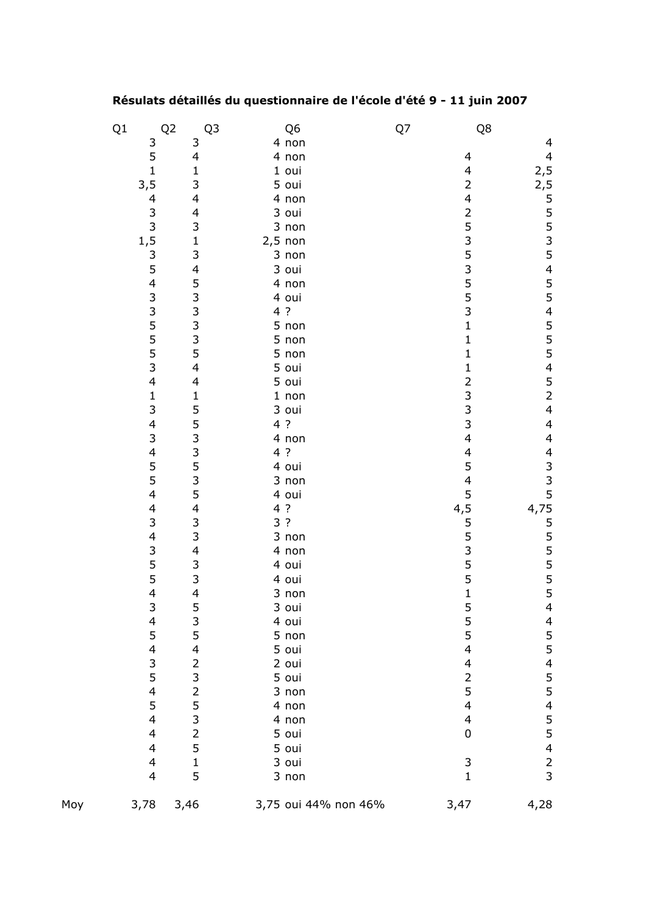## **Résulats détaillés du questionnaire de l'école d'été 9 - 11 juin 2007**

|     | Q1                          | Q <sub>2</sub><br>Q <sub>3</sub>           | Q <sub>6</sub>       | Q7 | Q8                                         |                                                                    |
|-----|-----------------------------|--------------------------------------------|----------------------|----|--------------------------------------------|--------------------------------------------------------------------|
|     |                             | 3                                          | 4 non                |    |                                            | 4                                                                  |
|     | $\frac{3}{5}$               | 4                                          | 4 non                |    | 4                                          |                                                                    |
|     | $\mathbf{1}$                | $\mathbf{1}$                               | $1$ oui              |    | $\overline{\mathcal{L}}$                   |                                                                    |
|     | 3, 5                        | 3                                          | 5 oui                |    | $\overline{c}$                             |                                                                    |
|     | $\overline{\mathcal{L}}$    | $\overline{\mathbf{4}}$                    | 4 non                |    | $\overline{\mathcal{L}}$                   |                                                                    |
|     |                             |                                            | 3 oui                |    |                                            |                                                                    |
|     |                             |                                            | 3 non                |    |                                            |                                                                    |
|     |                             | $\begin{array}{c} 4 \\ 3 \\ 1 \end{array}$ | $2,5$ non            |    |                                            |                                                                    |
|     |                             | 3                                          | 3 non                |    |                                            |                                                                    |
|     | $3^3$<br>1,5<br>3<br>5<br>5 | $\overline{\mathcal{L}}$                   | 3 oui                |    |                                            |                                                                    |
|     | $\overline{\mathcal{L}}$    |                                            | 4 non                |    | 25353553                                   |                                                                    |
|     |                             |                                            | 4 oui                |    |                                            |                                                                    |
|     |                             |                                            | 4 ?                  |    |                                            |                                                                    |
|     |                             |                                            | 5 non                |    | $\mathbf{1}$                               |                                                                    |
|     |                             |                                            | 5 non                |    | $\mathbf{1}$                               |                                                                    |
|     |                             |                                            | 5 non                |    | $\mathbf{1}$                               |                                                                    |
|     | 335553                      | 533354                                     |                      |    |                                            |                                                                    |
|     | $\overline{\mathbf{4}}$     | $\overline{\mathcal{A}}$                   | $\frac{1}{5}$ oui    |    | $\frac{1}{2}$                              |                                                                    |
|     | $\mathbf{1}$                |                                            | $1$ non              |    |                                            |                                                                    |
|     | 3                           | 15533535                                   | 3 oui                |    | $\begin{array}{c} 3 \\ 3 \\ 3 \end{array}$ |                                                                    |
|     | $\overline{\mathcal{A}}$    |                                            | 4 ?                  |    |                                            | $\overline{\mathcal{L}}$                                           |
|     | 3                           |                                            | 4 non                |    | 4                                          | $\overline{\mathcal{L}}$                                           |
|     | $\overline{\mathcal{A}}$    |                                            | 4 ?                  |    | $\overline{\mathcal{L}}$                   |                                                                    |
|     |                             |                                            | 4 oui                |    | 5                                          |                                                                    |
|     | $\frac{5}{5}$               |                                            | 3 non                |    | $\overline{\mathcal{L}}$                   | 4<br>3<br>3<br>3<br>5<br>5<br>5<br>5<br>5<br>5<br>5<br>5<br>5<br>4 |
|     | $\overline{\mathcal{A}}$    |                                            | 4 oui                |    | $\frac{5}{4,5}$                            |                                                                    |
|     | 4                           | $\overline{\mathcal{L}}$                   | 4 ?                  |    |                                            |                                                                    |
|     | 3                           | $\begin{array}{c} 3 \\ 3 \\ 4 \end{array}$ | 3 ?                  |    | 553551                                     |                                                                    |
|     | 4                           |                                            | 3 non                |    |                                            |                                                                    |
|     | 3<br>5<br>5<br>4            |                                            | 4 non                |    |                                            |                                                                    |
|     |                             | $\begin{array}{c} 3 \\ 3 \\ 4 \end{array}$ | 4 oui                |    |                                            |                                                                    |
|     |                             |                                            | 4 oui                |    |                                            |                                                                    |
|     |                             |                                            | $3$ non              |    |                                            |                                                                    |
|     | 3                           | 5                                          | 3 oui                |    | 5                                          |                                                                    |
|     | $\overline{\mathcal{A}}$    | 3                                          | 4 oui                |    | 5                                          |                                                                    |
|     | 5                           | 5                                          | 5 non                |    | 5                                          | 4<br>5<br>5                                                        |
|     | 4                           | $\overline{\mathcal{L}}$                   | 5 oui                |    | $\overline{\mathcal{L}}$                   |                                                                    |
|     | $\frac{3}{5}$               | $\frac{2}{3}$                              | 2 oui                |    | 4                                          | $\begin{array}{c} 4 \\ 5 \\ 5 \end{array}$                         |
|     |                             |                                            | 5 oui                |    | $\overline{c}$                             |                                                                    |
|     | 4                           | $\overline{c}$                             | 3 non                |    | 5                                          |                                                                    |
|     | 5                           | $\begin{array}{c} 5 \\ 3 \\ 2 \end{array}$ | 4 non                |    | $\overline{\mathcal{L}}$                   |                                                                    |
|     | 4                           |                                            | 4 non                |    | $\overline{\mathbf{4}}$                    |                                                                    |
|     | $\overline{\mathbf{4}}$     |                                            | 5 oui                |    | $\mathbf 0$                                |                                                                    |
|     | $\overline{\mathbf{4}}$     | 5                                          | 5 oui                |    |                                            | 455423                                                             |
|     | 4                           | $\mathbf 1$                                | 3 oui                |    | 3                                          |                                                                    |
|     | $\overline{\mathbf{4}}$     | 5                                          | 3 non                |    | $\mathbf{1}$                               |                                                                    |
| Moy | 3,78                        | 3,46                                       | 3,75 oui 44% non 46% |    | 3,47                                       | 4,28                                                               |